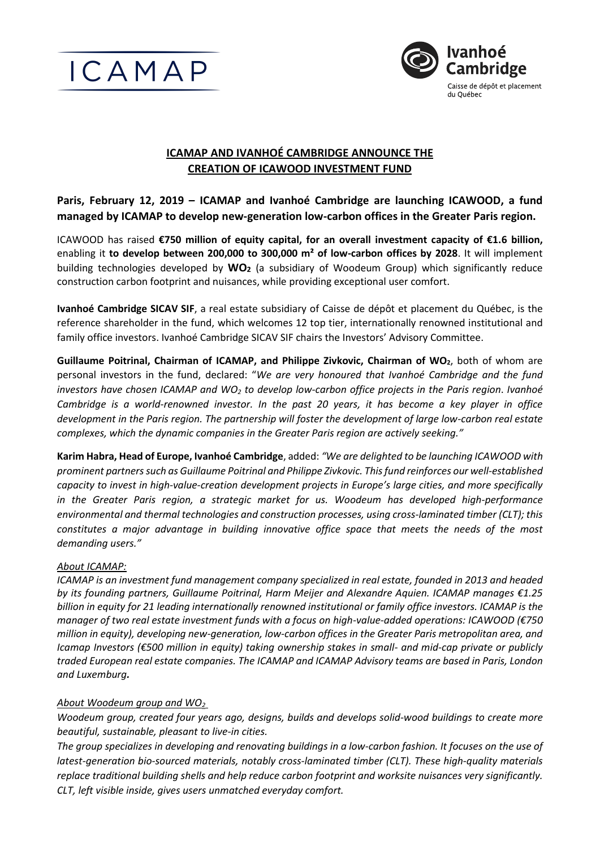



# **ICAMAP AND IVANHOÉ CAMBRIDGE ANNOUNCE THE CREATION OF ICAWOOD INVESTMENT FUND**

**Paris, February 12, 2019 – ICAMAP and Ivanhoé Cambridge are launching ICAWOOD, a fund managed by ICAMAP to develop new-generation low-carbon offices in the Greater Paris region.**

ICAWOOD has raised **€750 million of equity capital, for an overall investment capacity of €1.6 billion,** enabling it **to develop between 200,000 to 300,000 m² of low-carbon offices by 2028**. It will implement building technologies developed by **WO<sup>2</sup>** (a subsidiary of Woodeum Group) which significantly reduce construction carbon footprint and nuisances, while providing exceptional user comfort.

**Ivanhoé Cambridge SICAV SIF**, a real estate subsidiary of Caisse de dépôt et placement du Québec, is the reference shareholder in the fund, which welcomes 12 top tier, internationally renowned institutional and family office investors. Ivanhoé Cambridge SICAV SIF chairs the Investors' Advisory Committee.

**Guillaume Poitrinal, Chairman of ICAMAP, and Philippe Zivkovic, Chairman of WO2**, both of whom are personal investors in the fund, declared: "*We are very honoured that Ivanhoé Cambridge and the fund investors have chosen ICAMAP and WO<sup>2</sup> to develop low-carbon office projects in the Paris region*. *Ivanhoé Cambridge is a world-renowned investor. In the past 20 years, it has become a key player in office development in the Paris region. The partnership will foster the development of large low-carbon real estate complexes, which the dynamic companies in the Greater Paris region are actively seeking."*

**Karim Habra, Head of Europe, Ivanhoé Cambridge**, added: *"We are delighted to be launching ICAWOOD with prominent partnerssuch as Guillaume Poitrinal and Philippe Zivkovic. This fund reinforces our well-established capacity to invest in high-value-creation development projects in Europe's large cities, and more specifically in the Greater Paris region, a strategic market for us. Woodeum has developed high-performance environmental and thermal technologies and construction processes, using cross-laminated timber (CLT); this constitutes a major advantage in building innovative office space that meets the needs of the most demanding users."*

### *About ICAMAP:*

*ICAMAP is an investment fund management company specialized in real estate, founded in 2013 and headed by its founding partners, Guillaume Poitrinal, Harm Meijer and Alexandre Aquien. ICAMAP manages €1.25 billion in equity for 21 leading internationally renowned institutional or family office investors. ICAMAP is the manager of two real estate investment funds with a focus on high-value-added operations: ICAWOOD (€750 million in equity), developing new-generation, low-carbon offices in the Greater Paris metropolitan area, and Icamap Investors (€500 million in equity) taking ownership stakes in small- and mid-cap private or publicly traded European real estate companies. The ICAMAP and ICAMAP Advisory teams are based in Paris, London and Luxemburg.* 

### *About Woodeum group and WO<sup>2</sup>*

*Woodeum group, created four years ago, designs, builds and develops solid-wood buildings to create more beautiful, sustainable, pleasant to live-in cities.*

*The group specializes in developing and renovating buildings in a low-carbon fashion. It focuses on the use of latest-generation bio-sourced materials, notably cross-laminated timber (CLT). These high-quality materials replace traditional building shells and help reduce carbon footprint and worksite nuisances very significantly. CLT, left visible inside, gives users unmatched everyday comfort.*